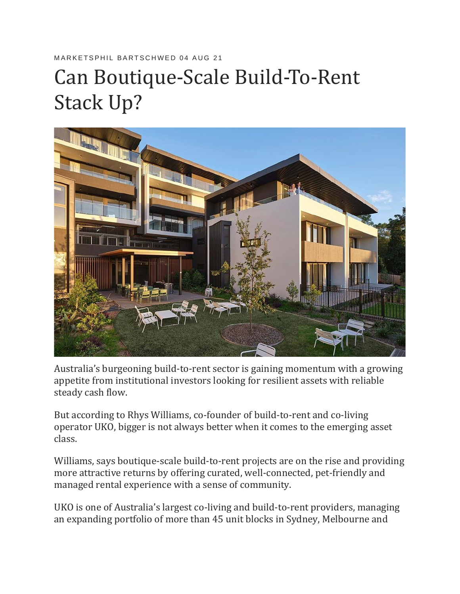## MARKETSPHIL BARTSCHWED 04 AUG 21

## Can Boutique-Scale Build-To-Rent Stack Up?



Australia's burgeoning build-to-rent sector is gaining momentum with a growing appetite from institutional investors looking for resilient assets with reliable steady cash flow.

But according to Rhys Williams, co-founder of build-to-rent and co-living operator UKO, bigger is not always better when it comes to the emerging asset class.

Williams, says boutique-scale build-to-rent projects are on the rise and providing more attractive returns by offering curated, well-connected, pet-friendly and managed rental experience with a sense of community.

UKO is one of Australia's largest co-living and build-to-rent providers, managing an expanding portfolio of more than 45 unit blocks in Sydney, Melbourne and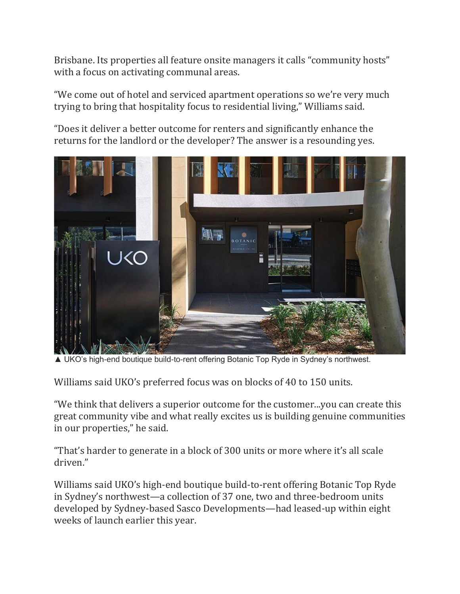Brisbane. Its properties all feature onsite managers it calls "community hosts" with a focus on activating communal areas.

"We come out of hotel and serviced apartment operations so we're very much trying to bring that hospitality focus to residential living," Williams said.

"Does it deliver a better outcome for renters and significantly enhance the returns for the landlord or the developer? The answer is a resounding yes.



▲ UKO's high-end boutique build-to-rent offering Botanic Top Ryde in Sydney's northwest.

Williams said UKO's preferred focus was on blocks of 40 to 150 units.

"We think that delivers a superior outcome for the customer...you can create this great community vibe and what really excites us is building genuine communities in our properties," he said.

"That's harder to generate in a block of 300 units or more where it's all scale driven."

Williams said UKO's high-end boutique build-to-rent offering Botanic Top Ryde in Sydney's northwest—a collection of 37 one, two and three-bedroom units developed by Sydney-based Sasco Developments—had leased-up within eight weeks of launch earlier this year.